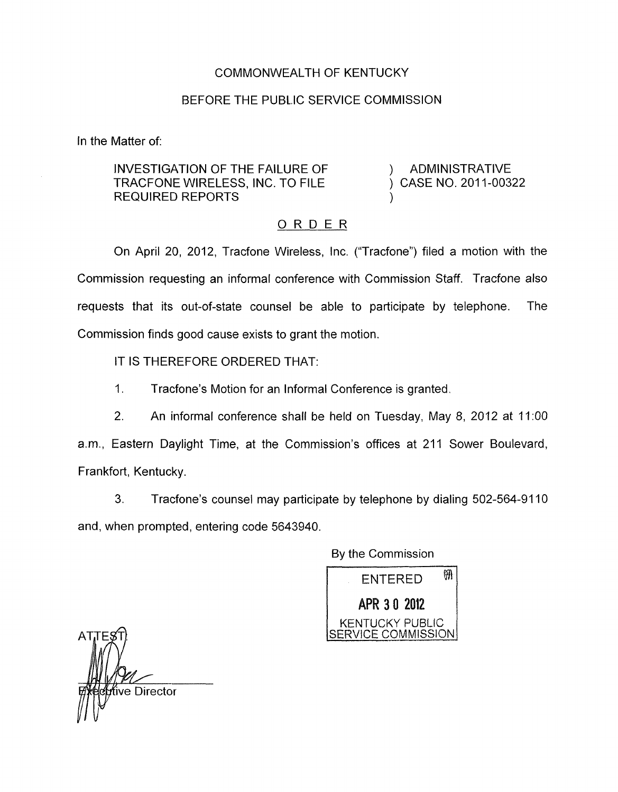## COMMONWEALTH OF KENTUCKY

## BEFORE THE PUBLIC SERVICE COMMISSION

n the Matter of:

INVESTIGATION OF THE FAILURE OF  $\qquad$  ) ADMINISTRATIVE TRACFONE WIRELESS, INC. TO FILE  $\qquad \qquad$  CASE NO. 2011-00322 REQUIRED REPORTS

## ORDER

On April 20, 2012, Tracfone Wireless, Inc. ("Tracfone") filed a motion with the Commission requesting an informal conference with Commission Staff. Tracfone also requests that its out-of-state counsel be able to participate by telephone. The Commission finds good cause exists to grant the motion.

IT IS THEREFORE ORDERED THAT:

1. Tracfone's Motion for an Informal Conference is granted.

2. An informal conference shall be held on Tuesday, May 8, 2012 at 11:OO

a.m., Eastern Daylight Time, at the Commission's offices at 211 Sower Boulevard, Frankfort, Kentucky.

3. Tracfone's counsel may participate by telephone by dialing 502-564-91 10 and, when prompted, entering code 5643940.

By the Commission



ve Director